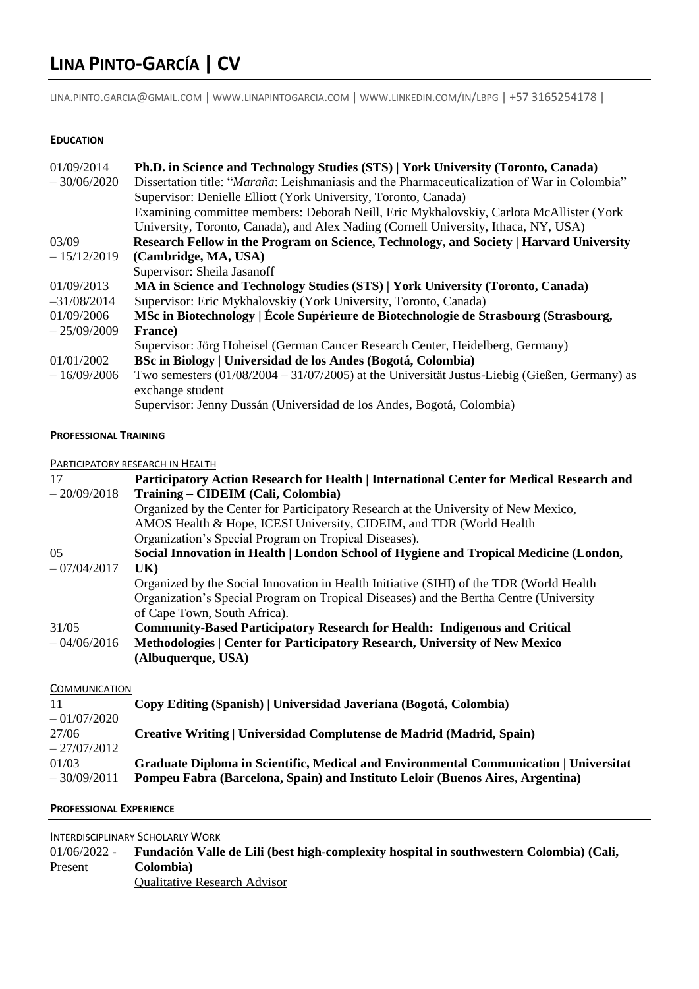# **LINA PINTO-GARCÍA | CV**

LINA.PINTO.[GARCIA](mailto:lina.pinto.garcia@gmail.com)@GMAIL.COM | WWW.[LINAPINTOGARCIA](http://www.linapintogarcia.com/).COM | WWW.[LINKEDIN](http://www.linkedin.com/in/lbpg).COM/IN/LBPG | +57 3165254178 |

# **EDUCATION**

| 01/09/2014    | Ph.D. in Science and Technology Studies (STS)   York University (Toronto, Canada)                                   |
|---------------|---------------------------------------------------------------------------------------------------------------------|
| $-30/06/2020$ | Dissertation title: "Maraña: Leishmaniasis and the Pharmaceuticalization of War in Colombia"                        |
|               | Supervisor: Denielle Elliott (York University, Toronto, Canada)                                                     |
|               | Examining committee members: Deborah Neill, Eric Mykhalovskiy, Carlota McAllister (York                             |
|               | University, Toronto, Canada), and Alex Nading (Cornell University, Ithaca, NY, USA)                                 |
| 03/09         | Research Fellow in the Program on Science, Technology, and Society   Harvard University                             |
| $-15/12/2019$ | (Cambridge, MA, USA)                                                                                                |
|               | Supervisor: Sheila Jasanoff                                                                                         |
| 01/09/2013    | MA in Science and Technology Studies (STS)   York University (Toronto, Canada)                                      |
| $-31/08/2014$ | Supervisor: Eric Mykhalovskiy (York University, Toronto, Canada)                                                    |
| 01/09/2006    | MSc in Biotechnology   École Supérieure de Biotechnologie de Strasbourg (Strasbourg,                                |
| $-25/09/2009$ | France)                                                                                                             |
|               | Supervisor: Jörg Hoheisel (German Cancer Research Center, Heidelberg, Germany)                                      |
| 01/01/2002    | BSc in Biology   Universidad de los Andes (Bogotá, Colombia)                                                        |
| $-16/09/2006$ | Two semesters $(01/08/2004 - 31/07/2005)$ at the Universität Justus-Liebig (Gießen, Germany) as<br>exchange student |
|               | Supervisor: Jenny Dussán (Universidad de los Andes, Bogotá, Colombia)                                               |

#### **PROFESSIONAL TRAINING**

#### PARTICIPATORY RESEARCH IN HEALTH

| 17                   | Participatory Action Research for Health   International Center for Medical Research and |
|----------------------|------------------------------------------------------------------------------------------|
| $-20/09/2018$        | Training – CIDEIM (Cali, Colombia)                                                       |
|                      | Organized by the Center for Participatory Research at the University of New Mexico,      |
|                      | AMOS Health & Hope, ICESI University, CIDEIM, and TDR (World Health                      |
|                      | Organization's Special Program on Tropical Diseases).                                    |
| 05                   | Social Innovation in Health   London School of Hygiene and Tropical Medicine (London,    |
| $-07/04/2017$        | UK)                                                                                      |
|                      | Organized by the Social Innovation in Health Initiative (SIHI) of the TDR (World Health  |
|                      | Organization's Special Program on Tropical Diseases) and the Bertha Centre (University   |
|                      | of Cape Town, South Africa).                                                             |
| 31/05                | <b>Community-Based Participatory Research for Health: Indigenous and Critical</b>        |
| $-04/06/2016$        | Methodologies   Center for Participatory Research, University of New Mexico              |
|                      | (Albuquerque, USA)                                                                       |
|                      |                                                                                          |
| <b>COMMUNICATION</b> |                                                                                          |
| 11                   | Copy Editing (Spanish)   Universidad Javeriana (Bogotá, Colombia)                        |
| $-01/07/2020$        |                                                                                          |
| 27/06                | Creative Writing   Universidad Complutense de Madrid (Madrid, Spain)                     |
| $-27/07/2012$        |                                                                                          |
| 01/03                | Graduate Diploma in Scientific, Medical and Environmental Communication   Universitat    |

# **PROFESSIONAL EXPERIENCE**

#### INTERDISCIPLINARY SCHOLARLY WORK

01/06/2022 - **Fundación Valle de Lili (best high-complexity hospital in southwestern Colombia) (Cali,** Present **Colombia)** Qualitative Research Advisor

– 30/09/2011 **Pompeu Fabra (Barcelona, Spain) and Instituto Leloir (Buenos Aires, Argentina)**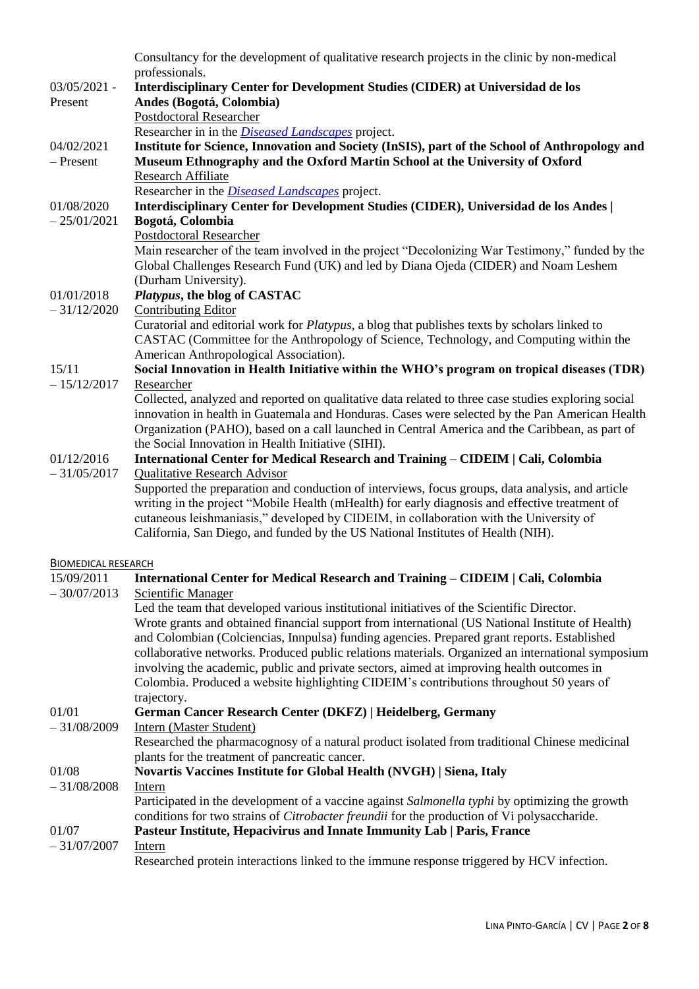|                            | Consultancy for the development of qualitative research projects in the clinic by non-medical                                                                                                        |
|----------------------------|------------------------------------------------------------------------------------------------------------------------------------------------------------------------------------------------------|
|                            | professionals.                                                                                                                                                                                       |
| $03/05/2021 -$             | Interdisciplinary Center for Development Studies (CIDER) at Universidad de los                                                                                                                       |
| Present                    | Andes (Bogotá, Colombia)<br><b>Postdoctoral Researcher</b>                                                                                                                                           |
|                            |                                                                                                                                                                                                      |
|                            | Researcher in in the <i>Diseased Landscapes</i> project.                                                                                                                                             |
| 04/02/2021<br>$-$ Present  | Institute for Science, Innovation and Society (InSIS), part of the School of Anthropology and<br>Museum Ethnography and the Oxford Martin School at the University of Oxford                         |
|                            | <b>Research Affiliate</b>                                                                                                                                                                            |
|                            | Researcher in the <i>Diseased Landscapes</i> project.                                                                                                                                                |
| 01/08/2020                 | Interdisciplinary Center for Development Studies (CIDER), Universidad de los Andes                                                                                                                   |
| $-25/01/2021$              | Bogotá, Colombia                                                                                                                                                                                     |
|                            | <b>Postdoctoral Researcher</b>                                                                                                                                                                       |
|                            | Main researcher of the team involved in the project "Decolonizing War Testimony," funded by the                                                                                                      |
|                            | Global Challenges Research Fund (UK) and led by Diana Ojeda (CIDER) and Noam Leshem                                                                                                                  |
|                            | (Durham University).                                                                                                                                                                                 |
| 01/01/2018                 | Platypus, the blog of CASTAC                                                                                                                                                                         |
| $-31/12/2020$              | <b>Contributing Editor</b>                                                                                                                                                                           |
|                            | Curatorial and editorial work for Platypus, a blog that publishes texts by scholars linked to                                                                                                        |
|                            | CASTAC (Committee for the Anthropology of Science, Technology, and Computing within the<br>American Anthropological Association).                                                                    |
| 15/11                      | Social Innovation in Health Initiative within the WHO's program on tropical diseases (TDR)                                                                                                           |
| $-15/12/2017$              | Researcher                                                                                                                                                                                           |
|                            | Collected, analyzed and reported on qualitative data related to three case studies exploring social                                                                                                  |
|                            | innovation in health in Guatemala and Honduras. Cases were selected by the Pan American Health                                                                                                       |
|                            | Organization (PAHO), based on a call launched in Central America and the Caribbean, as part of                                                                                                       |
|                            | the Social Innovation in Health Initiative (SIHI).                                                                                                                                                   |
| 01/12/2016                 | International Center for Medical Research and Training - CIDEIM   Cali, Colombia                                                                                                                     |
| $-31/05/2017$              | <b>Qualitative Research Advisor</b>                                                                                                                                                                  |
|                            | Supported the preparation and conduction of interviews, focus groups, data analysis, and article                                                                                                     |
|                            | writing in the project "Mobile Health (mHealth) for early diagnosis and effective treatment of                                                                                                       |
|                            | cutaneous leishmaniasis," developed by CIDEIM, in collaboration with the University of                                                                                                               |
|                            | California, San Diego, and funded by the US National Institutes of Health (NIH).                                                                                                                     |
|                            |                                                                                                                                                                                                      |
| <b>BIOMEDICAL RESEARCH</b> |                                                                                                                                                                                                      |
| 15/09/2011                 | International Center for Medical Research and Training - CIDEIM   Cali, Colombia                                                                                                                     |
| $-30/07/2013$              | <b>Scientific Manager</b>                                                                                                                                                                            |
|                            | Led the team that developed various institutional initiatives of the Scientific Director.                                                                                                            |
|                            | Wrote grants and obtained financial support from international (US National Institute of Health)                                                                                                     |
|                            | and Colombian (Colciencias, Innpulsa) funding agencies. Prepared grant reports. Established                                                                                                          |
|                            | collaborative networks. Produced public relations materials. Organized an international symposium                                                                                                    |
|                            | involving the academic, public and private sectors, aimed at improving health outcomes in                                                                                                            |
|                            | Colombia. Produced a website highlighting CIDEIM's contributions throughout 50 years of                                                                                                              |
|                            | trajectory.                                                                                                                                                                                          |
| 01/01                      | German Cancer Research Center (DKFZ)   Heidelberg, Germany                                                                                                                                           |
| $-31/08/2009$              | Intern (Master Student)                                                                                                                                                                              |
|                            | Researched the pharmacognosy of a natural product isolated from traditional Chinese medicinal                                                                                                        |
| 01/08                      | plants for the treatment of pancreatic cancer.                                                                                                                                                       |
| $-31/08/2008$              | <b>Novartis Vaccines Institute for Global Health (NVGH)   Siena, Italy</b>                                                                                                                           |
|                            | Intern                                                                                                                                                                                               |
|                            | Participated in the development of a vaccine against Salmonella typhi by optimizing the growth<br>conditions for two strains of <i>Citrobacter freundit</i> for the production of Vi polysaccharide. |
| 01/07                      | Pasteur Institute, Hepacivirus and Innate Immunity Lab   Paris, France                                                                                                                               |
| $-31/07/2007$              | Intern                                                                                                                                                                                               |
|                            | Researched protein interactions linked to the immune response triggered by HCV infection.                                                                                                            |
|                            |                                                                                                                                                                                                      |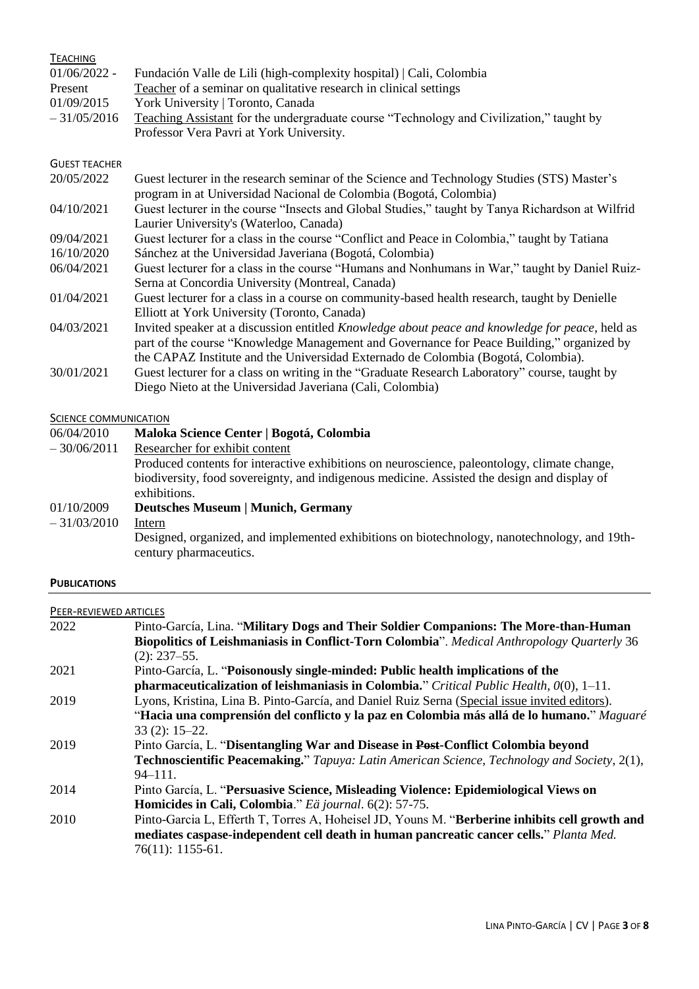| <b>TEACHING</b>              |                                                                                                  |
|------------------------------|--------------------------------------------------------------------------------------------------|
| $01/06/2022 -$               | Fundación Valle de Lili (high-complexity hospital)   Cali, Colombia                              |
| Present                      | Teacher of a seminar on qualitative research in clinical settings                                |
| 01/09/2015                   | York University   Toronto, Canada                                                                |
| $-31/05/2016$                | Teaching Assistant for the undergraduate course "Technology and Civilization," taught by         |
|                              | Professor Vera Pavri at York University.                                                         |
|                              |                                                                                                  |
| <b>GUEST TEACHER</b>         |                                                                                                  |
| 20/05/2022                   | Guest lecturer in the research seminar of the Science and Technology Studies (STS) Master's      |
|                              | program in at Universidad Nacional de Colombia (Bogotá, Colombia)                                |
| 04/10/2021                   | Guest lecturer in the course "Insects and Global Studies," taught by Tanya Richardson at Wilfrid |
|                              | Laurier University's (Waterloo, Canada)                                                          |
| 09/04/2021                   | Guest lecturer for a class in the course "Conflict and Peace in Colombia," taught by Tatiana     |
| 16/10/2020                   | Sánchez at the Universidad Javeriana (Bogotá, Colombia)                                          |
| 06/04/2021                   | Guest lecturer for a class in the course "Humans and Nonhumans in War," taught by Daniel Ruiz-   |
|                              | Serna at Concordia University (Montreal, Canada)                                                 |
| 01/04/2021                   | Guest lecturer for a class in a course on community-based health research, taught by Denielle    |
|                              | Elliott at York University (Toronto, Canada)                                                     |
| 04/03/2021                   | Invited speaker at a discussion entitled Knowledge about peace and knowledge for peace, held as  |
|                              | part of the course "Knowledge Management and Governance for Peace Building," organized by        |
|                              | the CAPAZ Institute and the Universidad Externado de Colombia (Bogotá, Colombia).                |
| 30/01/2021                   | Guest lecturer for a class on writing in the "Graduate Research Laboratory" course, taught by    |
|                              | Diego Nieto at the Universidad Javeriana (Cali, Colombia)                                        |
|                              |                                                                                                  |
| <b>SCIENCE COMMUNICATION</b> |                                                                                                  |
| 06/04/2010                   | Maloka Science Center   Bogotá, Colombia                                                         |
| $-30/06/2011$                | Researcher for exhibit content                                                                   |
|                              | Produced contents for interactive exhibitions on neuroscience, paleontology, climate change,     |
|                              | biodiversity food covergionty and indigenous modicing. Assisted the design and display of        |

# biodiversity, food sovereignty, and indigenous medicine. Assisted the design and display of exhibitions. 01/10/2009 **[Deutsches Museum](http://www.deutsches-museum.de/) | Munich, Germany**  $-31/03/2010$ Designed, organized, and implemented exhibitions on biotechnology, nanotechnology, and 19thcentury pharmaceutics.

# **PUBLICATIONS**

| PEER-REVIEWED ARTICLES |                                                                                                    |
|------------------------|----------------------------------------------------------------------------------------------------|
| 2022                   | Pinto-García, Lina. "Military Dogs and Their Soldier Companions: The More-than-Human               |
|                        | <b>Biopolitics of Leishmaniasis in Conflict-Torn Colombia</b> ". Medical Anthropology Quarterly 36 |
|                        | $(2): 237 - 55.$                                                                                   |
| 2021                   | Pinto-García, L. "Poisonously single-minded: Public health implications of the                     |
|                        | pharmaceuticalization of leishmaniasis in Colombia." Critical Public Health, $0(0)$ , 1-11.        |
| 2019                   | Lyons, Kristina, Lina B. Pinto-García, and Daniel Ruiz Serna (Special issue invited editors).      |
|                        | "Hacia una comprensión del conflicto y la paz en Colombia más allá de lo humano." Maguaré          |
|                        | $33(2): 15-22.$                                                                                    |
| 2019                   | Pinto García, L. "Disentangling War and Disease in Post-Conflict Colombia beyond                   |
|                        | Technoscientific Peacemaking," Tapuya: Latin American Science, Technology and Society, 2(1),       |
|                        | $94 - 111.$                                                                                        |
| 2014                   | Pinto García, L. "Persuasive Science, Misleading Violence: Epidemiological Views on                |
|                        | Homicides in Cali, Colombia." Eä journal. 6(2): 57-75.                                             |
| 2010                   | Pinto-Garcia L, Efferth T, Torres A, Hoheisel JD, Youns M. "Berberine inhibits cell growth and     |
|                        | mediates caspase-independent cell death in human pancreatic cancer cells." Planta Med.             |
|                        | $76(11): 1155-61.$                                                                                 |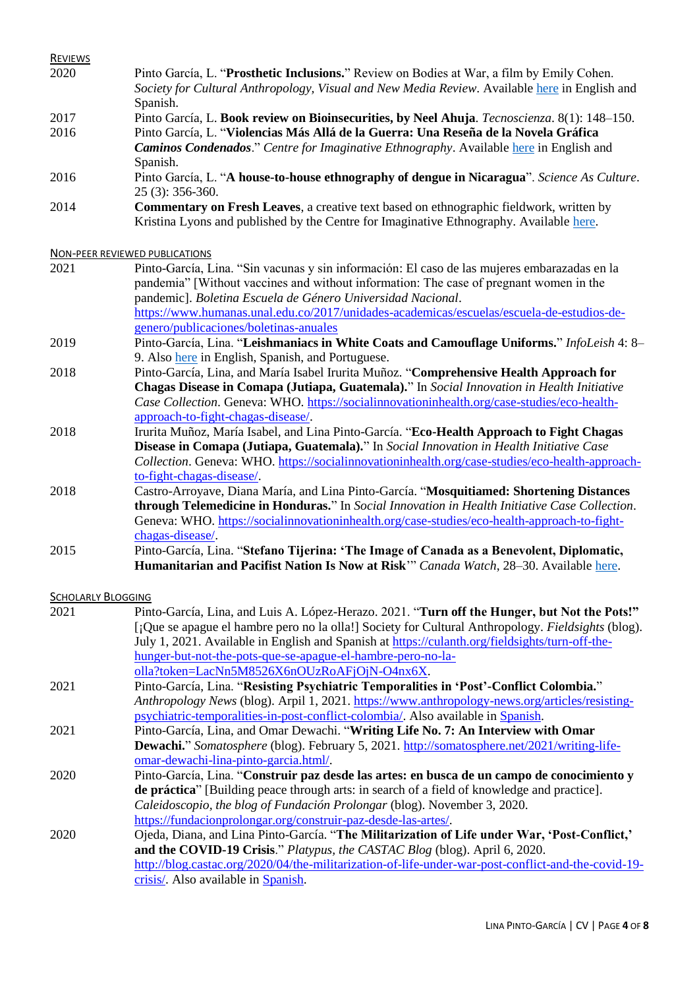| <b>REVIEWS</b> |                                                                                                |
|----------------|------------------------------------------------------------------------------------------------|
| 2020           | Pinto García, L. "Prosthetic Inclusions." Review on Bodies at War, a film by Emily Cohen.      |
|                | Society for Cultural Anthropology, Visual and New Media Review. Available here in English and  |
|                | Spanish.                                                                                       |
| 2017           | Pinto García, L. Book review on Bioinsecurities, by Neel Ahuja. Tecnoscienza. 8(1): 148–150.   |
| 2016           | Pinto García, L. "Violencias Más Allá de la Guerra: Una Reseña de la Novela Gráfica            |
|                | <b>Caminos Condenados.</b> " Centre for Imaginative Ethnography. Available here in English and |
|                | Spanish.                                                                                       |
| 2016           | Pinto García, L. "A house-to-house ethnography of dengue in Nicaragua". Science As Culture.    |
|                | $25(3)$ : 356-360.                                                                             |
| 2014           | <b>Commentary on Fresh Leaves, a creative text based on ethnographic fieldwork, written by</b> |
|                | Kristina Lyons and published by the Centre for Imaginative Ethnography. Available here.        |
|                |                                                                                                |
|                |                                                                                                |

NON-PEER REVIEWED PUBLICATIONS

- 2021 Pinto-García, Lina. "Sin vacunas y sin información: El caso de las mujeres embarazadas en la pandemia" [Without vaccines and without information: The case of pregnant women in the pandemic]. *Boletina Escuela de Género Universidad Nacional*. [https://www.humanas.unal.edu.co/2017/unidades-academicas/escuelas/escuela-de-estudios-de](https://www.humanas.unal.edu.co/2017/unidades-academicas/escuelas/escuela-de-estudios-de-genero/publicaciones/boletinas-anuales)[genero/publicaciones/boletinas-anuales](https://www.humanas.unal.edu.co/2017/unidades-academicas/escuelas/escuela-de-estudios-de-genero/publicaciones/boletinas-anuales)
- 2019 Pinto-García, Lina. "**Leishmaniacs in White Coats and Camouflage Uniforms.**" *InfoLeish* 4: 8– 9. Also [here](https://www.academia.edu/39973128/Leishmaniacs_in_White_Coats_and_Camouflage_Uniforms_Leishmaniacos_de_Bata_Blanca_y_de_Camuflado_Leishman%C3%ADacos_de_Jaleco_Branco_e_de_Roupa_Camuflada) in English, Spanish, and Portuguese.
- 2018 Pinto-García, Lina, and María Isabel Irurita Muñoz. "**Comprehensive Health Approach for Chagas Disease in Comapa (Jutiapa, Guatemala).**" In *Social Innovation in Health Initiative Case Collection*. Geneva: WHO. [https://socialinnovationinhealth.org/case-studies/eco-health](https://socialinnovationinhealth.org/case-studies/eco-health-approach-to-fight-chagas-disease/)[approach-to-fight-chagas-disease/.](https://socialinnovationinhealth.org/case-studies/eco-health-approach-to-fight-chagas-disease/)
- 2018 Irurita Muñoz, María Isabel, and Lina Pinto-García. "**Eco-Health Approach to Fight Chagas Disease in Comapa (Jutiapa, Guatemala).**" In *Social Innovation in Health Initiative Case Collection*. Geneva: WHO. [https://socialinnovationinhealth.org/case-studies/eco-health-approach](https://socialinnovationinhealth.org/case-studies/eco-health-approach-to-fight-chagas-disease/)[to-fight-chagas-disease/.](https://socialinnovationinhealth.org/case-studies/eco-health-approach-to-fight-chagas-disease/)
- 2018 Castro-Arroyave, Diana María, and Lina Pinto-García. "**Mosquitiamed: Shortening Distances through Telemedicine in Honduras.**" In *Social Innovation in Health Initiative Case Collection*. Geneva: WHO[. https://socialinnovationinhealth.org/case-studies/eco-health-approach-to-fight](https://socialinnovationinhealth.org/case-studies/eco-health-approach-to-fight-chagas-disease/)[chagas-disease/.](https://socialinnovationinhealth.org/case-studies/eco-health-approach-to-fight-chagas-disease/)
- 2015 Pinto-García, Lina. "**Stefano Tijerina: 'The Image of Canada as a Benevolent, Diplomatic, Humanitarian and Pacifist Nation Is Now at Risk**'" *Canada Watch*, 28–30. Available [here.](https://www.academia.edu/16757437/Stefano_Tijerina_The_image_of_Canada_as_a_benevolent_diplomatic_humanitarian_and_pacifist_nation_is_now_at_risk_)

SCHOLARLY BLOGGING

| 2021 | Pinto-García, Lina, and Luis A. López-Herazo. 2021. "Turn off the Hunger, but Not the Pots!"        |
|------|-----------------------------------------------------------------------------------------------------|
|      | [¿Que se apague el hambre pero no la olla!] Society for Cultural Anthropology. Fieldsights (blog).  |
|      | July 1, 2021. Available in English and Spanish at https://culanth.org/fieldsights/turn-off-the-     |
|      | hunger-but-not-the-pots-que-se-apague-el-hambre-pero-no-la-                                         |
|      | olla?token=LacNn5M8526X6nOUzRoAFjOjN-O4nx6X.                                                        |
| 2021 | Pinto-García, Lina. "Resisting Psychiatric Temporalities in 'Post'-Conflict Colombia."              |
|      | Anthropology News (blog). Arpil 1, 2021. https://www.anthropology-news.org/articles/resisting-      |
|      | psychiatric-temporalities-in-post-conflict-colombia/. Also available in Spanish.                    |
| 2021 | Pinto-García, Lina, and Omar Dewachi. "Writing Life No. 7: An Interview with Omar                   |
|      | Dewachi." Somatosphere (blog). February 5, 2021. http://somatosphere.net/2021/writing-life-         |
|      | omar-dewachi-lina-pinto-garcia.html/.                                                               |
| 2020 | Pinto-García, Lina. "Construir paz desde las artes: en busca de un campo de conocimiento y          |
|      | <b>de práctica</b> " [Building peace through arts: in search of a field of knowledge and practice]. |
|      | Caleidoscopio, the blog of Fundación Prolongar (blog). November 3, 2020.                            |
|      | https://fundacionprolongar.org/construir-paz-desde-las-artes/.                                      |
| 2020 | Ojeda, Diana, and Lina Pinto-García. "The Militarization of Life under War, 'Post-Conflict,'        |
|      | and the COVID-19 Crisis." Platypus, the CASTAC Blog (blog). April 6, 2020.                          |
|      | http://blog.castac.org/2020/04/the-militarization-of-life-under-war-post-conflict-and-the-covid-19- |
|      | crisis/. Also available in Spanish.                                                                 |
|      |                                                                                                     |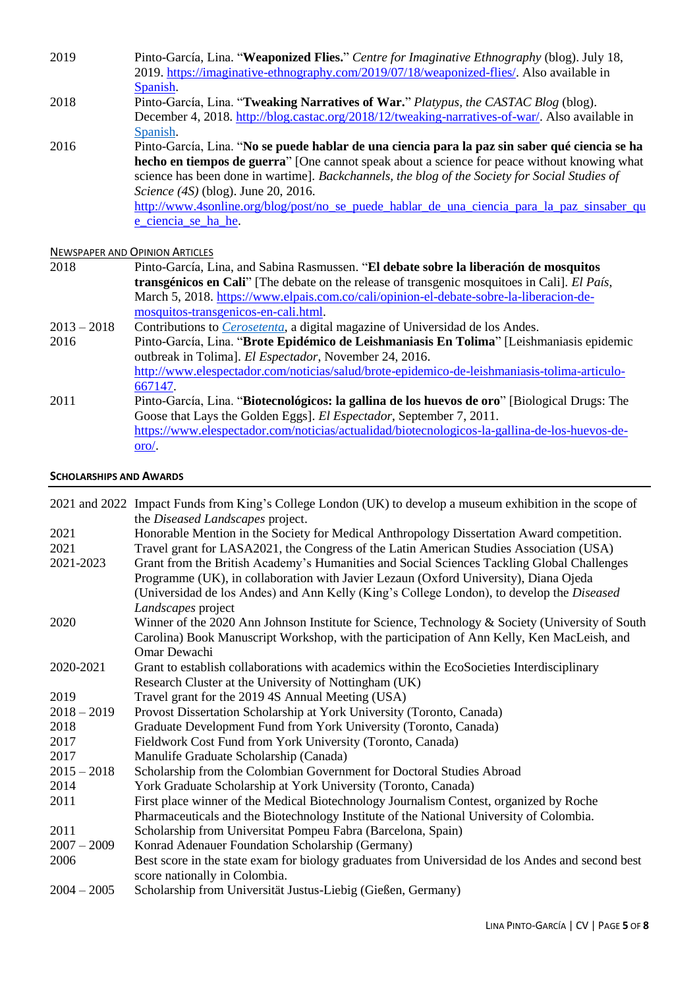- 2019 Pinto-García, Lina. "**Weaponized Flies.**" *Centre for Imaginative Ethnography* (blog). July 18, 2019. [https://imaginative-ethnography.com/2019/07/18/weaponized-flies/.](https://imaginative-ethnography.com/2019/07/18/weaponized-flies/) Also available in [Spanish.](https://imaginative-ethnography.com/2019/07/18/moscas-artilladas/)
- 2018 Pinto-García, Lina. "**Tweaking Narratives of War.**" *Platypus, the CASTAC Blog* (blog). December 4, 2018. [http://blog.castac.org/2018/12/tweaking-narratives-of-war/.](http://blog.castac.org/2018/12/tweaking-narratives-of-war/) Also available in [Spanish.](http://blog.castac.org/multilingual/ajustando-narrativas-de-guerra/)
- 2016 Pinto-García, Lina. "**No se puede hablar de una ciencia para la paz sin saber qué ciencia se ha hecho en tiempos de guerra**" [One cannot speak about a science for peace without knowing what science has been done in wartime]. *Backchannels, the blog of the Society for Social Studies of Science (4S)* (blog). June 20, 2016. [http://www.4sonline.org/blog/post/no\\_se\\_puede\\_hablar\\_de\\_una\\_ciencia\\_para\\_la\\_paz\\_sinsaber\\_qu](http://www.4sonline.org/blog/post/no_se_puede_hablar_de_una_ciencia_para_la_paz_sinsaber_que_ciencia_se_ha_he) e ciencia se ha he.

## NEWSPAPER AND OPINION ARTICLES

- 2018 Pinto-García, Lina, and Sabina Rasmussen. "**El debate sobre la liberación de mosquitos transgénicos en Cali**" [The debate on the release of transgenic mosquitoes in Cali]. *El País*, March 5, 2018. [https://www.elpais.com.co/cali/opinion-el-debate-sobre-la-liberacion-de](https://www.elpais.com.co/cali/opinion-el-debate-sobre-la-liberacion-de-mosquitos-transgenicos-en-cali.html)[mosquitos-transgenicos-en-cali.html.](https://www.elpais.com.co/cali/opinion-el-debate-sobre-la-liberacion-de-mosquitos-transgenicos-en-cali.html)
- 2013 2018 Contributions to *[Cerosetenta](http://cerosetenta.uniandes.edu.co/author/lina-pinto/)*, a digital magazine of Universidad de los Andes.
- 2016 Pinto-García, Lina. "**Brote Epidémico de Leishmaniasis En Tolima**" [Leishmaniasis epidemic outbreak in Tolima]. *El Espectador*, November 24, 2016. [http://www.elespectador.com/noticias/salud/brote-epidemico-de-leishmaniasis-tolima-articulo-](http://www.elespectador.com/noticias/salud/brote-epidemico-de-leishmaniasis-tolima-articulo-667147)[667147.](http://www.elespectador.com/noticias/salud/brote-epidemico-de-leishmaniasis-tolima-articulo-667147) 2011 Pinto-García, Lina. "**Biotecnológicos: la gallina de los huevos de oro**" [Biological Drugs: The Goose that Lays the Golden Eggs]. *El Espectador*, September 7, 2011. [https://www.elespectador.com/noticias/actualidad/biotecnologicos-la-gallina-de-los-huevos-de](https://www.elespectador.com/noticias/actualidad/biotecnologicos-la-gallina-de-los-huevos-de-oro/)[oro/.](https://www.elespectador.com/noticias/actualidad/biotecnologicos-la-gallina-de-los-huevos-de-oro/)

#### **SCHOLARSHIPS AND AWARDS**

|               | 2021 and 2022 Impact Funds from King's College London (UK) to develop a museum exhibition in the scope of<br>the Diseased Landscapes project. |
|---------------|-----------------------------------------------------------------------------------------------------------------------------------------------|
| 2021          | Honorable Mention in the Society for Medical Anthropology Dissertation Award competition.                                                     |
| 2021          | Travel grant for LASA2021, the Congress of the Latin American Studies Association (USA)                                                       |
| 2021-2023     | Grant from the British Academy's Humanities and Social Sciences Tackling Global Challenges                                                    |
|               | Programme (UK), in collaboration with Javier Lezaun (Oxford University), Diana Ojeda                                                          |
|               | (Universidad de los Andes) and Ann Kelly (King's College London), to develop the <i>Diseased</i>                                              |
|               |                                                                                                                                               |
|               | Landscapes project                                                                                                                            |
| 2020          | Winner of the 2020 Ann Johnson Institute for Science, Technology & Society (University of South                                               |
|               | Carolina) Book Manuscript Workshop, with the participation of Ann Kelly, Ken MacLeish, and<br>Omar Dewachi                                    |
|               |                                                                                                                                               |
| 2020-2021     | Grant to establish collaborations with academics within the EcoSocieties Interdisciplinary                                                    |
|               | Research Cluster at the University of Nottingham (UK)                                                                                         |
| 2019          | Travel grant for the 2019 4S Annual Meeting (USA)                                                                                             |
| $2018 - 2019$ | Provost Dissertation Scholarship at York University (Toronto, Canada)                                                                         |
| 2018          | Graduate Development Fund from York University (Toronto, Canada)                                                                              |
| 2017          | Fieldwork Cost Fund from York University (Toronto, Canada)                                                                                    |
| 2017          | Manulife Graduate Scholarship (Canada)                                                                                                        |
| $2015 - 2018$ | Scholarship from the Colombian Government for Doctoral Studies Abroad                                                                         |
| 2014          | York Graduate Scholarship at York University (Toronto, Canada)                                                                                |
| 2011          | First place winner of the Medical Biotechnology Journalism Contest, organized by Roche                                                        |
|               | Pharmaceuticals and the Biotechnology Institute of the National University of Colombia.                                                       |
| 2011          | Scholarship from Universitat Pompeu Fabra (Barcelona, Spain)                                                                                  |
| $2007 - 2009$ | Konrad Adenauer Foundation Scholarship (Germany)                                                                                              |
| 2006          | Best score in the state exam for biology graduates from Universidad de los Andes and second best                                              |
|               | score nationally in Colombia.                                                                                                                 |
| $2004 - 2005$ | Scholarship from Universität Justus-Liebig (Gießen, Germany)                                                                                  |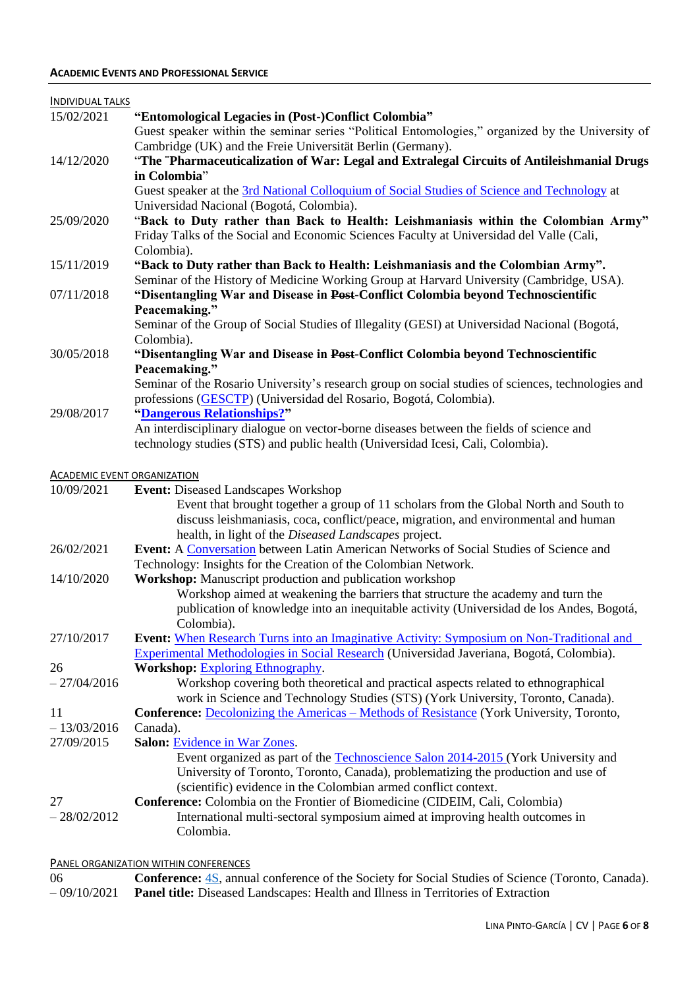| <b>INDIVIDUAL TALKS</b>            |                                                                                                    |
|------------------------------------|----------------------------------------------------------------------------------------------------|
| 15/02/2021                         | "Entomological Legacies in (Post-)Conflict Colombia"                                               |
|                                    | Guest speaker within the seminar series "Political Entomologies," organized by the University of   |
|                                    | Cambridge (UK) and the Freie Universität Berlin (Germany).                                         |
| 14/12/2020                         | "The "Pharmaceuticalization of War: Legal and Extralegal Circuits of Antileishmanial Drugs         |
|                                    | in Colombia"                                                                                       |
|                                    | Guest speaker at the 3rd National Colloquium of Social Studies of Science and Technology at        |
|                                    | Universidad Nacional (Bogotá, Colombia).                                                           |
| 25/09/2020                         | "Back to Duty rather than Back to Health: Leishmaniasis within the Colombian Army"                 |
|                                    | Friday Talks of the Social and Economic Sciences Faculty at Universidad del Valle (Cali,           |
|                                    | Colombia).                                                                                         |
| 15/11/2019                         | "Back to Duty rather than Back to Health: Leishmaniasis and the Colombian Army".                   |
|                                    | Seminar of the History of Medicine Working Group at Harvard University (Cambridge, USA).           |
| 07/11/2018                         | "Disentangling War and Disease in Post-Conflict Colombia beyond Technoscientific                   |
|                                    | Peacemaking."                                                                                      |
|                                    | Seminar of the Group of Social Studies of Illegality (GESI) at Universidad Nacional (Bogotá,       |
|                                    | Colombia).                                                                                         |
| 30/05/2018                         | "Disentangling War and Disease in Post-Conflict Colombia beyond Technoscientific                   |
|                                    | Peacemaking."                                                                                      |
|                                    | Seminar of the Rosario University's research group on social studies of sciences, technologies and |
| 29/08/2017                         | professions (GESCTP) (Universidad del Rosario, Bogotá, Colombia).<br>"Dangerous Relationships?"    |
|                                    | An interdisciplinary dialogue on vector-borne diseases between the fields of science and           |
|                                    | technology studies (STS) and public health (Universidad Icesi, Cali, Colombia).                    |
|                                    |                                                                                                    |
| <b>ACADEMIC EVENT ORGANIZATION</b> |                                                                                                    |
| 10/09/2021                         | <b>Event: Diseased Landscapes Workshop</b>                                                         |
|                                    | Event that brought together a group of 11 scholars from the Global North and South to              |
|                                    | discuss leishmaniasis, coca, conflict/peace, migration, and environmental and human                |
|                                    | health, in light of the Diseased Landscapes project.                                               |
| 26/02/2021                         | Event: A Conversation between Latin American Networks of Social Studies of Science and             |
|                                    | Technology: Insights for the Creation of the Colombian Network.                                    |
| 14/10/2020                         | Workshop: Manuscript production and publication workshop                                           |
|                                    | Workshop aimed at weakening the barriers that structure the academy and turn the                   |
|                                    | publication of knowledge into an inequitable activity (Universidad de los Andes, Bogotá,           |
|                                    | Colombia).                                                                                         |
| 27/10/2017                         | <b>Event:</b> When Research Turns into an Imaginative Activity: Symposium on Non-Traditional and   |
|                                    | Experimental Methodologies in Social Research (Universidad Javeriana, Bogotá, Colombia).           |
| 26                                 | <b>Workshop: Exploring Ethnography.</b>                                                            |
| $-27/04/2016$                      | Workshop covering both theoretical and practical aspects related to ethnographical                 |
|                                    | work in Science and Technology Studies (STS) (York University, Toronto, Canada).                   |
| 11                                 | <b>Conference:</b> Decolonizing the Americas – Methods of Resistance (York University, Toronto,    |
| $-13/03/2016$                      | Canada).                                                                                           |
| 27/09/2015                         | Salon: Evidence in War Zones.                                                                      |
|                                    | Event organized as part of the Technoscience Salon 2014-2015 (York University and                  |
|                                    | University of Toronto, Toronto, Canada), problematizing the production and use of                  |
|                                    | (scientific) evidence in the Colombian armed conflict context.                                     |
| 27                                 | Conference: Colombia on the Frontier of Biomedicine (CIDEIM, Cali, Colombia)                       |
| $-28/02/2012$                      | International multi-sectoral symposium aimed at improving health outcomes in                       |
|                                    | Colombia.                                                                                          |
|                                    |                                                                                                    |

# PANEL ORGANIZATION WITHIN CONFERENCES

| 06 | <b>Conference:</b> 4S, annual conference of the Society for Social Studies of Science (Toronto, Canada). |
|----|----------------------------------------------------------------------------------------------------------|
|    | $-09/10/2021$ <b>Panel title:</b> Diseased Landscapes: Health and Illness in Territories of Extraction   |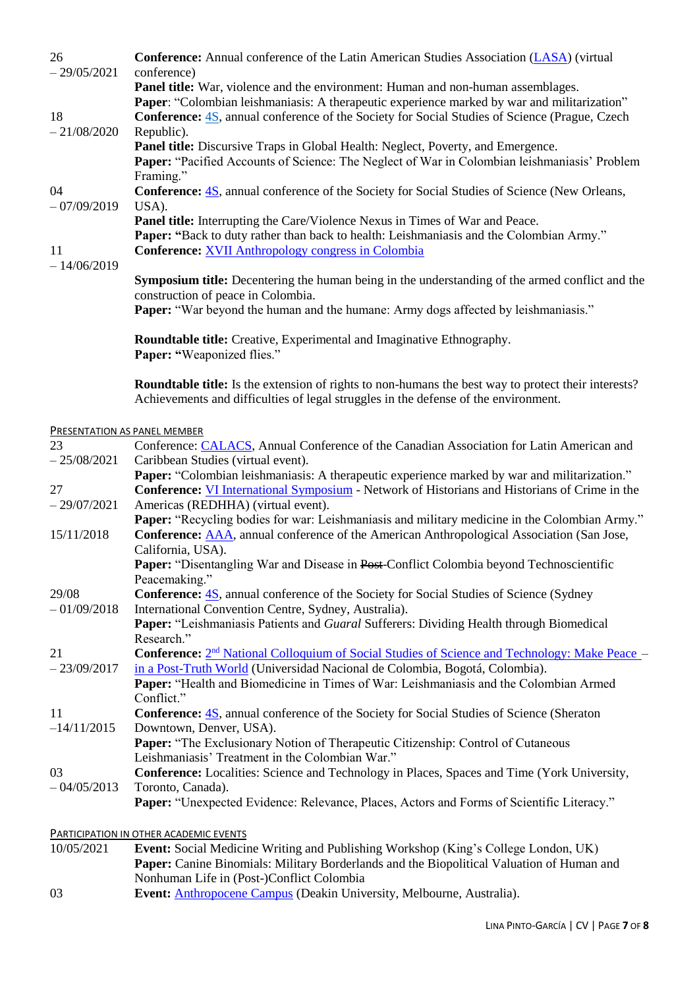| 26<br>$-29/05/2021$    | <b>Conference:</b> Annual conference of the Latin American Studies Association (LASA) (virtual<br>conference)                                                                                                                                                                           |
|------------------------|-----------------------------------------------------------------------------------------------------------------------------------------------------------------------------------------------------------------------------------------------------------------------------------------|
| 18                     | Panel title: War, violence and the environment: Human and non-human assemblages.<br>Paper: "Colombian leishmaniasis: A therapeutic experience marked by war and militarization"<br><b>Conference:</b> 4S, annual conference of the Society for Social Studies of Science (Prague, Czech |
| $-21/08/2020$          | Republic).<br>Panel title: Discursive Traps in Global Health: Neglect, Poverty, and Emergence.<br><b>Paper:</b> "Pacified Accounts of Science: The Neglect of War in Colombian leishmaniasis' Problem                                                                                   |
| 04<br>$-07/09/2019$    | Framing."<br><b>Conference:</b> 4S, annual conference of the Society for Social Studies of Science (New Orleans,<br>USA).                                                                                                                                                               |
| 11                     | Panel title: Interrupting the Care/Violence Nexus in Times of War and Peace.<br>Paper: "Back to duty rather than back to health: Leishmaniasis and the Colombian Army."<br><b>Conference:</b> XVII Anthropology congress in Colombia                                                    |
| $-14/06/2019$          | <b>Symposium title:</b> Decentering the human being in the understanding of the armed conflict and the<br>construction of peace in Colombia.                                                                                                                                            |
|                        | <b>Paper:</b> "War beyond the human and the humane: Army dogs affected by leishmaniasis."                                                                                                                                                                                               |
|                        | Roundtable title: Creative, Experimental and Imaginative Ethnography.<br>Paper: "Weaponized flies."                                                                                                                                                                                     |
|                        | <b>Roundtable title:</b> Is the extension of rights to non-humans the best way to protect their interests?<br>Achievements and difficulties of legal struggles in the defense of the environment.                                                                                       |
|                        | <b>PRESENTATION AS PANEL MEMBER</b>                                                                                                                                                                                                                                                     |
| 23                     | Conference: CALACS, Annual Conference of the Canadian Association for Latin American and                                                                                                                                                                                                |
| $-25/08/2021$          | Caribbean Studies (virtual event).<br><b>Paper:</b> "Colombian leishmaniasis: A therapeutic experience marked by war and militarization."                                                                                                                                               |
| 27                     | Conference: VI International Symposium - Network of Historians and Historians of Crime in the                                                                                                                                                                                           |
| $-29/07/2021$          | Americas (REDHHA) (virtual event).<br>Paper: "Recycling bodies for war: Leishmaniasis and military medicine in the Colombian Army."                                                                                                                                                     |
| 15/11/2018             | Conference: <b>AAA</b> , annual conference of the American Anthropological Association (San Jose,<br>California, USA).                                                                                                                                                                  |
|                        | Paper: "Disentangling War and Disease in Post-Conflict Colombia beyond Technoscientific<br>Peacemaking."                                                                                                                                                                                |
| 29/08<br>$-01/09/2018$ | <b>Conference: 4S</b> , annual conference of the Society for Social Studies of Science (Sydney                                                                                                                                                                                          |
|                        | International Convention Centre, Sydney, Australia).<br>Paper: "Leishmaniasis Patients and Guaral Sufferers: Dividing Health through Biomedical<br>Research."                                                                                                                           |
| 21                     | <b>Conference:</b> 2 <sup>nd</sup> National Colloquium of Social Studies of Science and Technology: Make Peace –                                                                                                                                                                        |
| $-23/09/2017$          | in a Post-Truth World (Universidad Nacional de Colombia, Bogotá, Colombia).                                                                                                                                                                                                             |
|                        | Paper: "Health and Biomedicine in Times of War: Leishmaniasis and the Colombian Armed<br>Conflict."                                                                                                                                                                                     |
| 11                     | <b>Conference:</b> 4S, annual conference of the Society for Social Studies of Science (Sheraton                                                                                                                                                                                         |
| $-14/11/2015$          | Downtown, Denver, USA).                                                                                                                                                                                                                                                                 |
|                        | Paper: "The Exclusionary Notion of Therapeutic Citizenship: Control of Cutaneous                                                                                                                                                                                                        |
| 03                     | Leishmaniasis' Treatment in the Colombian War."                                                                                                                                                                                                                                         |
| $-04/05/2013$          | <b>Conference:</b> Localities: Science and Technology in Places, Spaces and Time (York University,<br>Toronto, Canada).                                                                                                                                                                 |
|                        | Paper: "Unexpected Evidence: Relevance, Places, Actors and Forms of Scientific Literacy."                                                                                                                                                                                               |
|                        | <b>PARTICIPATION IN OTHER ACADEMIC EVENTS</b>                                                                                                                                                                                                                                           |
| 10/05/2021             | <b>Event:</b> Social Medicine Writing and Publishing Workshop (King's College London, UK)                                                                                                                                                                                               |

**Paper:** Canine Binomials: Military Borderlands and the Biopolitical Valuation of Human and Nonhuman Life in (Post-)Conflict Colombia

03 **Event:** [Anthropocene Campus](http://www.deakin.edu.au/about-deakin/events/anthropocene-campus-melbourne-2018) (Deakin University, Melbourne, Australia).